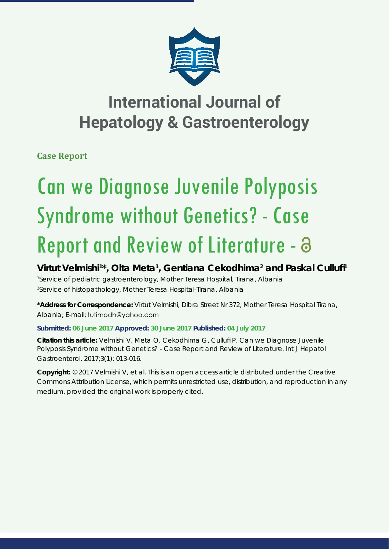

## **International Journal of Hepatology & Gastroenterology**

**Case Report**

# Can we Diagnose Juvenile Polyposis Syndrome without Genetics? - Case Report and Review of Literature -

### Virtut Velmishi<sup>1\*</sup>, Olta Meta<sup>1</sup>, Gentiana Cekodhima<sup>2</sup> and Paskal Cullufi<sup>1</sup>

*1 Service of pediatric gastroenterology, Mother Teresa Hospital, Tirana, Albania 2 Service of histopathology, Mother Teresa Hospital-Tirana, Albania*

**\*Address for Correspondence:** Virtut Velmishi, Dibra Street Nr 372, Mother Teresa Hospital Tirana, Albania; E-mail: tutimodh@yahoo.com

#### **Submitted: 06 June 2017 Approved: 30 June 2017 Published: 04 July 2017**

**Citation this article:** Velmishi V, Meta O, Cekodhima G, Cullufi P. Can we Diagnose Juvenile Polyposis Syndrome without Genetics? - Case Report and Review of Literature. Int J Hepatol Gastroenterol. 2017;3(1): 013-016.

**Copyright:** © 2017 Velmishi V, et al. This is an open access article distributed under the Creative Commons Attribution License, which permits unrestricted use, distribution, and reproduction in any medium, provided the original work is properly cited.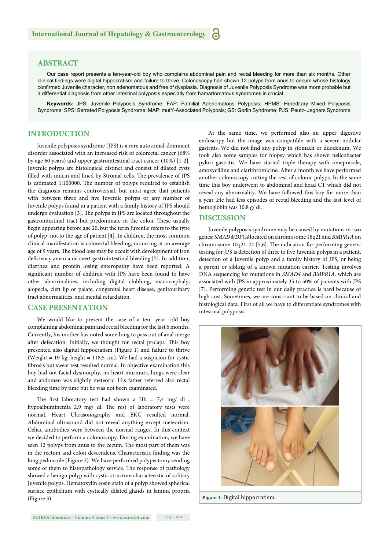#### **ABSTRACT**

Our case report presents a ten-year-old boy who complains abdominal pain and rectal bleeding for more than six months. Other clinical findings were digital hippocratism and failure to thrive. Colonoscopy had shown 12 polyps from anus to cecum whose histology confirmed Juvenile character, non adenomatous and free of dysplasia. Diagnosis of Juvenile Polyposis Syndrome was more probable but a differential diagnosis from other intestinal polyposis especially from hamartomatous syndromes is crucial.

**Keywords:** JPS: Juvenile Polyposis Syndrome; FAP: Familial Adenomatous Polyposis; HPMS: Hereditary Mixed Polyposis Syndrome; SPS: Serrated Polyposis Syndrome; MAP: mutY-Associated Polyposis; GS: Gorlin Syndrome; PJS: Peutz- Jeghers Syndrome

#### **INTRODUCTION**

Juvenile polyposis syndrome (JPS) is a rare autosomal-dominant disorder associated with an increased risk of colorectal cancer (68% by age 60 years) and upper gastrointestinal tract cancer (10%) [1-2]. Juvenile polyps are histological distinct and consist of dilated cysts filled with mucin and lined by Stromal cells. The prevalence of JPS is estimated 1:100000. The number of polyps required to establish the diagnosis remains controversial, but most agree that patients with between three and five Juvenile polyps or any number of Juvenile polyps found in a patient with a family history of JPS should undergo evaluation [3]. The polyps in JPS are located throughout the gastrointestinal tract but predominate in the colon. These usually begin appearing before age 20, but the term Juvenile refers to the type of polyp, not to the age of patient [4]. In children, the most common clinical manifestation is colorectal bleeding, occurring at an average age of 9 years. The blood loss may be occult with development of iron deficiency anemia or overt gastrointestinal bleeding [5]. In addition, diarrhea and protein losing enteropathy have been reported. A significant number of children with JPS have been found to have other abnormalities, including digital clubbing, macrocephaly, alopecia, cleft lip or palate, congenital heart disease, genitourinary tract abnormalities, and mental retardation.

#### **CASE PRESENTATION**

We would like to present the case of a ten- year -old boy complaining abdominal pain and rectal bleeding for the last 6 months. Currently, his mother has noted something to pass out of anal merge after defecation. Initially, we thought for rectal prolaps. This boy presented also digital hippocratism (Figure 1) and failure to thrive (Weight = 19 kg; height = 118.5 cm). We had a suspicion for cystic fibrosis but sweat test resulted normal. In objective examination this boy had not facial dysmorphy, no heart murmurs, lungs were clear and abdomen was slightly meteoric. His father referred also rectal bleeding time by time but he was not been examinated.

The first laboratory test had shown a Hb =  $7.4$  mg/ dl, hypoalbuminemia 2,9 mg/ dl. The rest of laboratory tests were normal. Heart Ultrasonography and EKG resulted normal. Abdominal ultrasound did not reveal anything except meteorism. Celiac antibodies were between the normal ranges. In this context we decided to perform a colonoscopy. During examination, we have seen 12 polyps from anus to the cecum. The most part of them was in the rectum and colon descendens. Characteristic finding was the long peduncule (Figure 2). We have performed polypectomy sending some of them to histopathology service. The response of pathology showed a benign polyp with cystic structure characteristic of solitary Juvenile polyps. Hematoxylin eosin stain of a polyp showed spherical surface epithelium with cystically dilated glands in lamina propria (Figure 3).

At the same time, we performed also an upper digestive endoscopy but the image was compatible with a severe nodular gastritis. We did not find any polyp in stomach or duodenum. We took also some samples for biopsy which has shown helicobacter pylori gastritis. We have started triple therapy with omeprasole, amoxycilline and clarithromicine. After a month we have performed another colonoscopy cutting the rest of colonic polyps. In the same time this boy underwent to abdominal and head CT which did not reveal any abnormality. We have followed this boy for more than a year .He had less episodes of rectal bleeding and the last level of hemoglobin was 10.8 g/ dl.

#### **DISCUSSION**

Juvenile polyposis syndrome may be caused by mutations in two genes: *SMAD4/DPC4* located on chromosome 18q21 and *BMPR1A* on chromosome  $10q21-22$  [5,6]. The indication for performing genetic testing for JPS is detection of three to five Juvenile polyps in a patient, detection of a Juvenile polyp and a family history of JPS, or being a parent or sibling of a known mutation carrier. Testing involves DNA sequencing for mutations in *SMAD4* and *BMPR1A,* which are associated with JPS in approximately 35 to 50% of patients with JPS [7]. Performing genetic test in our daily practice is hard because of high cost. Sometimes, we are constraint to be based on clinical and histological data. First of all we have to differentiate syndromes with intestinal polyposis.



**Figure 1:** Digital hippocratism.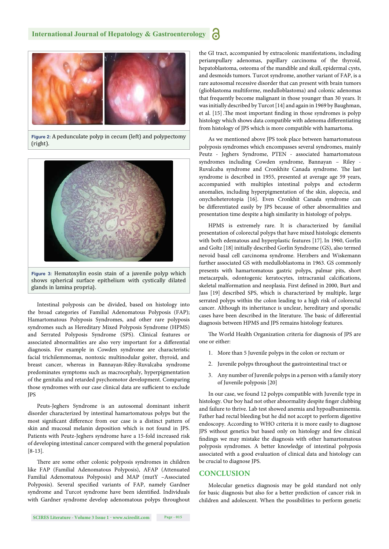

**Figure 2:** A pedunculate polyp in cecum (left) and polypectomy (right).



**Figure 3:** Hematoxylin eosin stain of a juvenile polyp which shows spherical surface epithelium with cystically dilated glands in lamina propria).

Intestinal polyposis can be divided, based on histology into the broad categories of Familial Adenomatous Polyposis (FAP); Hamartomatous Polyposis Syndromes, and other rare polyposis syndromes such as Hereditary Mixed Polyposis Syndrome (HPMS) and Serrated Polyposis Syndrome (SPS). Clinical features or associated abnormalities are also very important for a differential diagnosis. For example in Cowden syndrome are characteristic facial trichilemmomas, nontoxic multinodular goiter, thyroid, and breast cancer, whereas in Bannayan-Riley-Ruvalcaba syndrome predominates symptoms such as macrocephaly, hyperpigmentation of the genitalia and retarded psychomotor development. Comparing those syndromes with our case clinical data are sufficient to exclude JPS

Peuts-Jeghers Syndrome is an autosomal dominant inherit disorder characterized by intestinal hamartomatous polyps but the most significant difference from our case is a distinct pattern of skin and mucosal melanin deposition which is not found in JPS. Patients with Peutz-Jeghers syndrome have a 15-fold increased risk of developing intestinal cancer compared with the general population [8-13].

There are some other colonic polyposis syndromes in children like FAP (Familial Adenomatous Polyposis), AFAP (Attenuated Familial Adenomatous Polyposis) and MAP (mutY –Associated Polyposis). Several specified variants of FAP, namely Gardner syndrome and Turcot syndrome have been identified. Individuals with Gardner syndrome develop adenomatous polyps throughout the GI tract, accompanied by extracolonic manifestations, including periampullary adenomas, papillary carcinoma of the thyroid, hepatoblastoma, osteoma of the mandible and skull, epidermal cysts, and desmoids tumors. Turcot syndrome, another variant of FAP, is a rare autosomal recessive disorder that can present with brain tumors (glioblastoma multiforme, medulloblastoma) and colonic adenomas that frequently become malignant in those younger than 30 years. It was initially described by Turcot [14] and again in 1969 by Baughman, et al. [15]. The most important finding in those syndromes is polyp histology which shows data compatible with adenoma differentiating from histology of JPS which is more compatible with hamartoma.

As we mentioned above JPS took place between hamartomatous polyposis syndromes which encompasses several syndromes, mainly Peutz - Jeghers Syndrome, PTEN - associated hamartomatous syndromes including Cowden syndrome, Bannayan – Riley - Ruvalcaba syndrome and Cronkhite Canada syndrome. The last syndrome is described in 1955, presented at average age 59 years, accompanied with multiples intestinal polyps and ectoderm anomalies, including hyperpigmentation of the skin, alopecia, and onychoheterotopia [16]. Even Cronkhit Canada syndrome can be differentiated easily by JPS because of other abnormalities and presentation time despite a high similarity in histology of polyps.

HPMS is extremely rare. It is characterized by familial presentation of colorectal polyps that have mixed histologic elements with both edematous and hyperplastic features [17].In 1960, Gorlin and Goltz [18] initially described Gorlin Syndrome (GS), also termed nevoid basal cell carcinoma syndrome. Herzbers and Wiskemann further associated GS with medulloblastoma in 1963. GS commonly presents with hamartomatous gastric polyps, palmar pits, short metacarpals, odontogenic keratocytes, intracranial calcifications, skeletal malformation and neoplasia. First defined in 2000, Burt and Jass [19] described SPS, which is characterized by multiple, large serrated polyps within the colon leading to a high risk of colorectal cancer. Although its inheritance is unclear, hereditary and sporadic cases have been described in the literature. The basic of differential diagnosis between HPMS and JPS remains histology features.

The World Health Organization criteria for diagnosis of JPS are one or either:

- 1. More than 5 Juvenile polyps in the colon or rectum or
- 2. Juvenile polyps throughout the gastrointestinal tract or
- 3. Any number of Juvenile polyps in a person with a family story of Juvenile polyposis [20]

In our case, we found 12 polyps compatible with Juvenile type in histology. Our boy had not other abnormality despite finger clubbing and failure to thrive. Lab test showed anemia and hypoalbuminemia. Father had rectal bleeding but he did not accept to perform digestive endoscopy. According to WHO criteria it is more easily to diagnose JPS without genetics but based only on histology and few clinical findings we may mistake the diagnosis with other hamartomatous polyposis syndromes. A better knowledge of intestinal polyposis associated with a good evaluation of clinical data and histology can be crucial to diagnose JPS.

#### **CONCLUSION**

Molecular genetics diagnosis may be gold standard not only for basic diagnosis but also for a better prediction of cancer risk in children and adolescent. When the possibilities to perform genetic